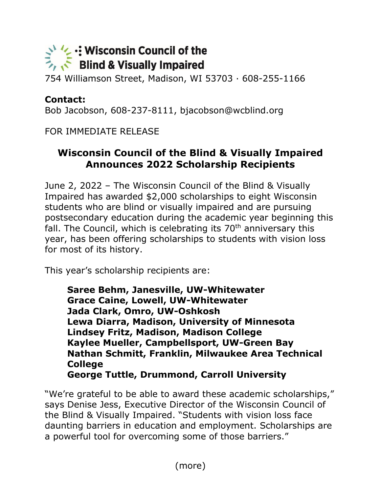## $\leq$  '/  $\leq$  : Wisconsin Council of the<br>  $\leq$   $\leq$  Blind & Visually Impaired

754 Williamson Street, Madison, WI 53703 · 608-255-1166

## **Contact:**

Bob Jacobson, 608-237-8111, bjacobson@wcblind.org

FOR IMMEDIATE RELEASE

## **Wisconsin Council of the Blind & Visually Impaired Announces 2022 Scholarship Recipients**

June 2, 2022 – The Wisconsin Council of the Blind & Visually Impaired has awarded \$2,000 scholarships to eight Wisconsin students who are blind or visually impaired and are pursuing postsecondary education during the academic year beginning this fall. The Council, which is celebrating its  $70<sup>th</sup>$  anniversary this year, has been offering scholarships to students with vision loss for most of its history.

This year's scholarship recipients are:

**Saree Behm, Janesville, UW-Whitewater Grace Caine, Lowell, UW-Whitewater Jada Clark, Omro, UW-Oshkosh Lewa Diarra, Madison, University of Minnesota Lindsey Fritz, Madison, Madison College Kaylee Mueller, Campbellsport, UW-Green Bay Nathan Schmitt, Franklin, Milwaukee Area Technical College George Tuttle, Drummond, Carroll University**

"We're grateful to be able to award these academic scholarships," says Denise Jess, Executive Director of the Wisconsin Council of the Blind & Visually Impaired. "Students with vision loss face daunting barriers in education and employment. Scholarships are a powerful tool for overcoming some of those barriers."